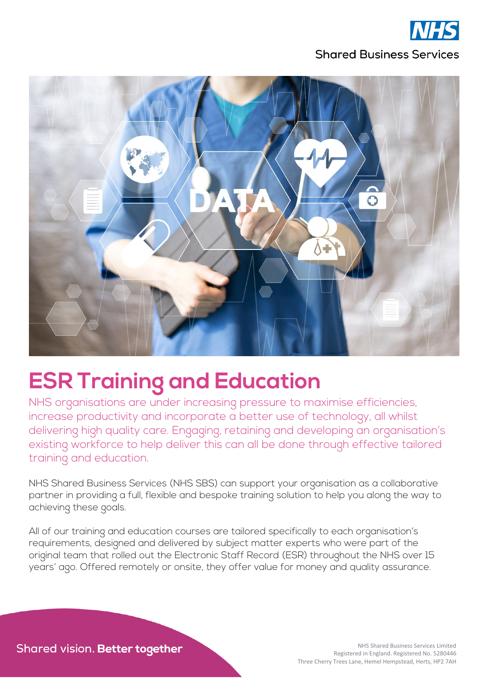



# **ESR Training and Education**

NHS organisations are under increasing pressure to maximise efficiencies, increase productivity and incorporate a better use of technology, all whilst delivering high quality care. Engaging, retaining and developing an organisation's existing workforce to help deliver this can all be done through effective tailored training and education.

NHS Shared Business Services (NHS SBS) can support your organisation as a collaborative partner in providing a full, flexible and bespoke training solution to help you along the way to achieving these goals.

All of our training and education courses are tailored specifically to each organisation's requirements, designed and delivered by subject matter experts who were part of the original team that rolled out the Electronic Staff Record (ESR) throughout the NHS over 15 years' ago. Offered remotely or onsite, they offer value for money and quality assurance.

Shared vision. Better together

NHS Shared Business Services Limited Registered in England. Registered No. 5280446 Three Cherry Trees Lane, Hemel Hempstead, Herts, HP2 7AH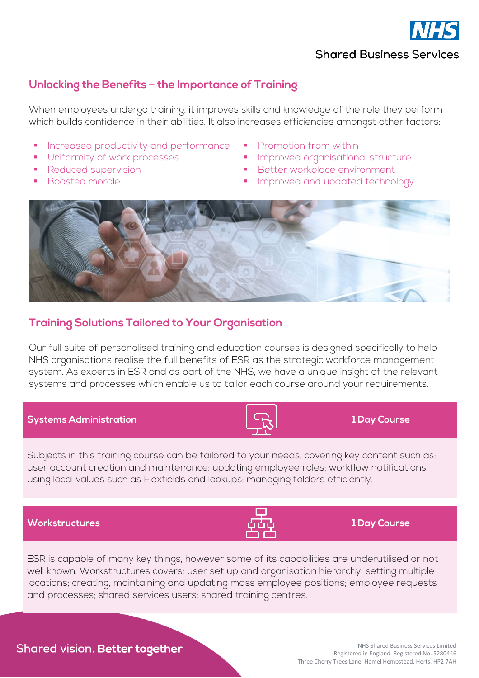

#### **Unlocking the Benefits – the Importance of Training**

When employees undergo training, it improves skills and knowledge of the role they perform which builds confidence in their abilities. It also increases efficiencies amongst other factors:

- Increased productivity and performance **Promotion from within**
- 
- 
- 
- 
- **IDREGONAL EXAMPLE IMPROVED EXAMPLE THE Uniformity of work processes ARE IMPROVED EXAMPLE INCOLLECT IN THE UNIFORMLY**
- Reduced supervision <br>■ Better workplace environment
	- Boosted morale and the state of the Improved and updated technology



#### **Training Solutions Tailored to Your Organisation**

Our full suite of personalised training and education courses is designed specifically to help NHS organisations realise the full benefits of ESR as the strategic workforce management system. As experts in ESR and as part of the NHS, we have a unique insight of the relevant systems and processes which enable us to tailor each course around your requirements.

#### **Systems Administration 1 Day Course**

Subjects in this training course can be tailored to your needs, covering key content such as: user account creation and maintenance; updating employee roles; workflow notifications; using local values such as Flexfields and lookups; managing folders efficiently.

#### **Workstructures 1 Day Course**

ESR is capable of many key things, however some of its capabilities are underutilised or not well known. Workstructures covers: user set up and organisation hierarchy; setting multiple locations; creating, maintaining and updating mass employee positions; employee requests and processes; shared services users; shared training centres.

#### Shared vision. Better together





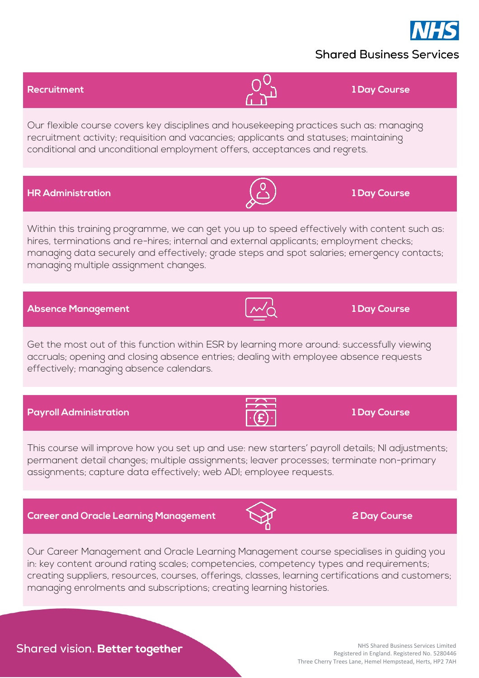

## **Shared Business Services**

## **Recruitment 1 Day Course**

Our flexible course covers key disciplines and housekeeping practices such as: managing recruitment activity; requisition and vacancies; applicants and statuses; maintaining conditional and unconditional employment offers, acceptances and regrets.

**HR Administration 1 Day Course**

Within this training programme, we can get you up to speed effectively with content such as: hires, terminations and re-hires; internal and external applicants; employment checks; managing data securely and effectively; grade steps and spot salaries; emergency contacts; managing multiple assignment changes.

**Absence Management 1 Day Course**

Get the most out of this function within ESR by learning more around: successfully viewing accruals; opening and closing absence entries; dealing with employee absence requests effectively; managing absence calendars.

This course will improve how you set up and use: new starters' payroll details; NI adjustments; permanent detail changes; multiple assignments; leaver processes; terminate non-primary

assignments; capture data effectively; web ADI; employee requests.

**Payroll Administration 1 Day Course** 

**Career and Oracle Learning Management 2 Day Course**

Our Career Management and Oracle Learning Management course specialises in guiding you in: key content around rating scales; competencies, competency types and requirements; creating suppliers, resources, courses, offerings, classes, learning certifications and customers; managing enrolments and subscriptions; creating learning histories.



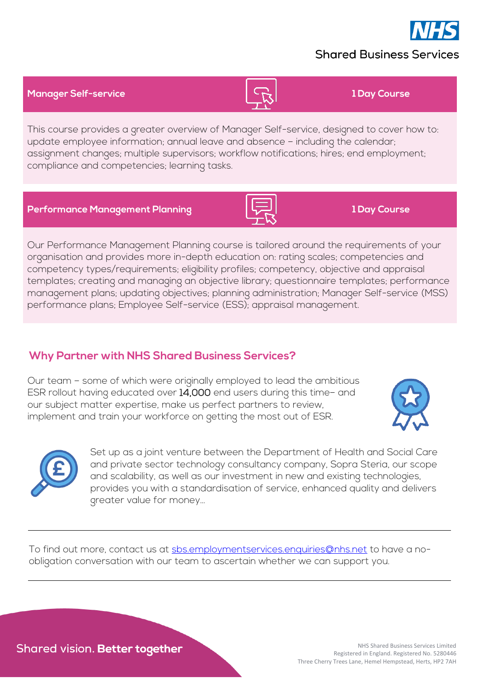# **Shared Business Services**

**Manager Self-service 1 Day Course**

This course provides a greater overview of Manager Self-service, designed to cover how to: update employee information; annual leave and absence – including the calendar; assignment changes; multiple supervisors; workflow notifications; hires; end employment; compliance and competencies; learning tasks.

**Performance Management Planning 1 Day Course**

Our Performance Management Planning course is tailored around the requirements of your organisation and provides more in-depth education on: rating scales; competencies and competency types/requirements; eligibility profiles; competency, objective and appraisal templates; creating and managing an objective library; questionnaire templates; performance management plans; updating objectives; planning administration; Manager Self-service (MSS) performance plans; Employee Self-service (ESS); appraisal management.

# **Why Partner with NHS Shared Business Services?**

Our team – some of which were originally employed to lead the ambitious ESR rollout having educated over 14,000 end users during this time– and our subject matter expertise, make us perfect partners to review, implement and train your workforce on getting the most out of ESR.

> Set up as a joint venture between the Department of Health and Social Care and private sector technology consultancy company, Sopra Steria, our scope and scalability, as well as our investment in new and existing technologies, provides you with a standardisation of service, enhanced quality and delivers greater value for money…

To find out more, contact us at [sbs.employmentservices.enquiries@nhs.net](mailto:sbs.employmentservices.enquiries@nhs.net) to have a noobligation conversation with our team to ascertain whether we can support you.